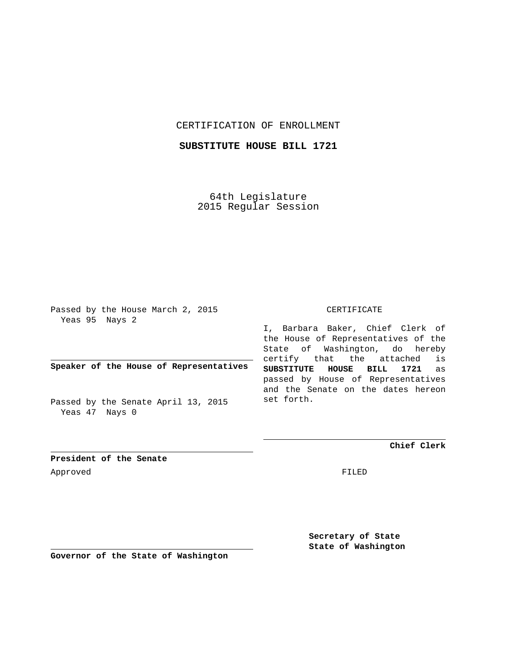## CERTIFICATION OF ENROLLMENT

## **SUBSTITUTE HOUSE BILL 1721**

64th Legislature 2015 Regular Session

Passed by the House March 2, 2015 Yeas 95 Nays 2

**Speaker of the House of Representatives**

Passed by the Senate April 13, 2015 Yeas 47 Nays 0

## CERTIFICATE

I, Barbara Baker, Chief Clerk of the House of Representatives of the State of Washington, do hereby certify that the attached is **SUBSTITUTE HOUSE BILL 1721** as passed by House of Representatives and the Senate on the dates hereon set forth.

**Chief Clerk**

**President of the Senate** Approved FILED

**Secretary of State State of Washington**

**Governor of the State of Washington**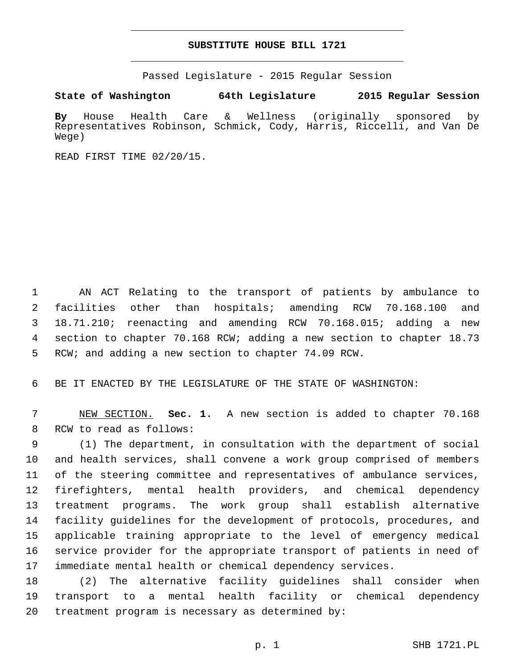## **SUBSTITUTE HOUSE BILL 1721**

Passed Legislature - 2015 Regular Session

**State of Washington 64th Legislature 2015 Regular Session**

**By** House Health Care & Wellness (originally sponsored by Representatives Robinson, Schmick, Cody, Harris, Riccelli, and Van De Wege)

READ FIRST TIME 02/20/15.

 AN ACT Relating to the transport of patients by ambulance to facilities other than hospitals; amending RCW 70.168.100 and 18.71.210; reenacting and amending RCW 70.168.015; adding a new section to chapter 70.168 RCW; adding a new section to chapter 18.73 RCW; and adding a new section to chapter 74.09 RCW.

BE IT ENACTED BY THE LEGISLATURE OF THE STATE OF WASHINGTON:

 NEW SECTION. **Sec. 1.** A new section is added to chapter 70.168 8 RCW to read as follows:

 (1) The department, in consultation with the department of social and health services, shall convene a work group comprised of members of the steering committee and representatives of ambulance services, firefighters, mental health providers, and chemical dependency treatment programs. The work group shall establish alternative facility guidelines for the development of protocols, procedures, and applicable training appropriate to the level of emergency medical service provider for the appropriate transport of patients in need of immediate mental health or chemical dependency services.

 (2) The alternative facility guidelines shall consider when transport to a mental health facility or chemical dependency 20 treatment program is necessary as determined by: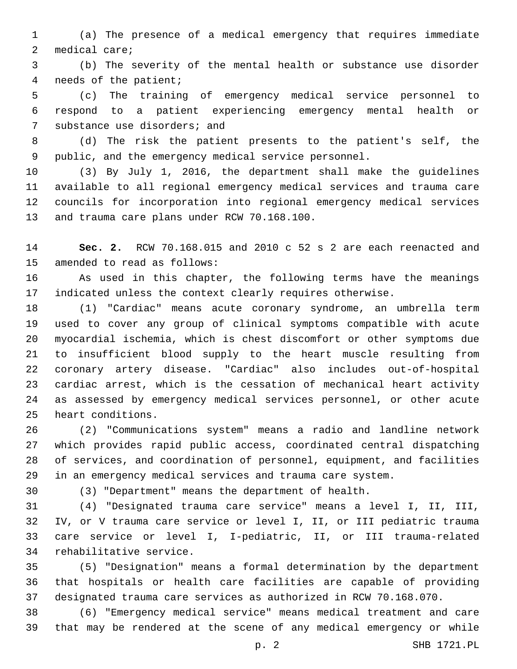(a) The presence of a medical emergency that requires immediate 2 medical care;

 (b) The severity of the mental health or substance use disorder 4 needs of the patient;

 (c) The training of emergency medical service personnel to respond to a patient experiencing emergency mental health or 7 substance use disorders; and

 (d) The risk the patient presents to the patient's self, the public, and the emergency medical service personnel.

 (3) By July 1, 2016, the department shall make the guidelines available to all regional emergency medical services and trauma care councils for incorporation into regional emergency medical services 13 and trauma care plans under RCW 70.168.100.

 **Sec. 2.** RCW 70.168.015 and 2010 c 52 s 2 are each reenacted and 15 amended to read as follows:

 As used in this chapter, the following terms have the meanings indicated unless the context clearly requires otherwise.

 (1) "Cardiac" means acute coronary syndrome, an umbrella term used to cover any group of clinical symptoms compatible with acute myocardial ischemia, which is chest discomfort or other symptoms due to insufficient blood supply to the heart muscle resulting from coronary artery disease. "Cardiac" also includes out-of-hospital cardiac arrest, which is the cessation of mechanical heart activity as assessed by emergency medical services personnel, or other acute 25 heart conditions.

 (2) "Communications system" means a radio and landline network which provides rapid public access, coordinated central dispatching of services, and coordination of personnel, equipment, and facilities in an emergency medical services and trauma care system.

(3) "Department" means the department of health.

 (4) "Designated trauma care service" means a level I, II, III, IV, or V trauma care service or level I, II, or III pediatric trauma care service or level I, I-pediatric, II, or III trauma-related 34 rehabilitative service.

 (5) "Designation" means a formal determination by the department that hospitals or health care facilities are capable of providing designated trauma care services as authorized in RCW 70.168.070.

 (6) "Emergency medical service" means medical treatment and care that may be rendered at the scene of any medical emergency or while

p. 2 SHB 1721.PL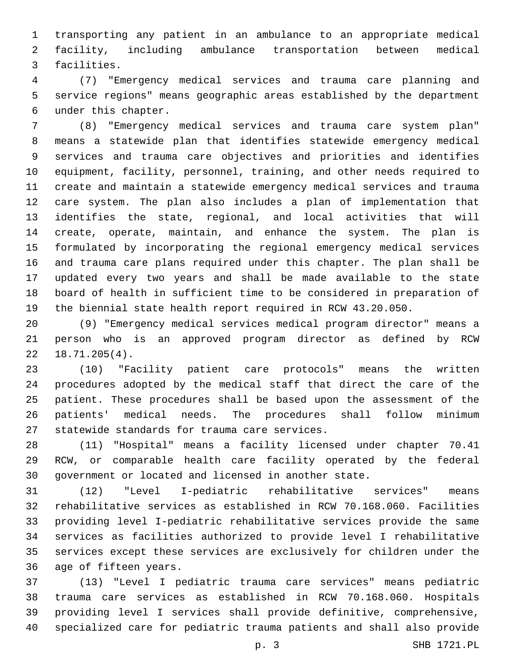transporting any patient in an ambulance to an appropriate medical facility, including ambulance transportation between medical 3 facilities.

 (7) "Emergency medical services and trauma care planning and service regions" means geographic areas established by the department under this chapter.6

 (8) "Emergency medical services and trauma care system plan" means a statewide plan that identifies statewide emergency medical services and trauma care objectives and priorities and identifies equipment, facility, personnel, training, and other needs required to create and maintain a statewide emergency medical services and trauma care system. The plan also includes a plan of implementation that identifies the state, regional, and local activities that will create, operate, maintain, and enhance the system. The plan is formulated by incorporating the regional emergency medical services and trauma care plans required under this chapter. The plan shall be updated every two years and shall be made available to the state board of health in sufficient time to be considered in preparation of the biennial state health report required in RCW 43.20.050.

 (9) "Emergency medical services medical program director" means a person who is an approved program director as defined by RCW  $22 \quad 18.71.205(4)$ .

 (10) "Facility patient care protocols" means the written procedures adopted by the medical staff that direct the care of the patient. These procedures shall be based upon the assessment of the patients' medical needs. The procedures shall follow minimum 27 statewide standards for trauma care services.

 (11) "Hospital" means a facility licensed under chapter 70.41 RCW, or comparable health care facility operated by the federal government or located and licensed in another state.

 (12) "Level I-pediatric rehabilitative services" means rehabilitative services as established in RCW 70.168.060. Facilities providing level I-pediatric rehabilitative services provide the same services as facilities authorized to provide level I rehabilitative services except these services are exclusively for children under the 36 age of fifteen years.

 (13) "Level I pediatric trauma care services" means pediatric trauma care services as established in RCW 70.168.060. Hospitals providing level I services shall provide definitive, comprehensive, specialized care for pediatric trauma patients and shall also provide

p. 3 SHB 1721.PL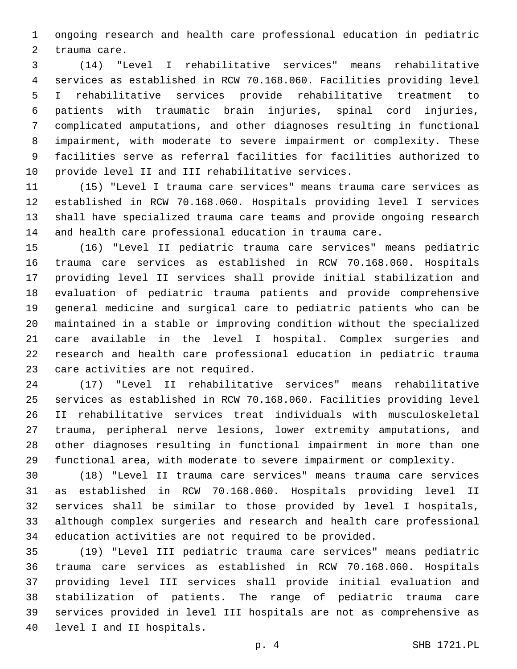ongoing research and health care professional education in pediatric 2 trauma care.

 (14) "Level I rehabilitative services" means rehabilitative services as established in RCW 70.168.060. Facilities providing level I rehabilitative services provide rehabilitative treatment to patients with traumatic brain injuries, spinal cord injuries, complicated amputations, and other diagnoses resulting in functional impairment, with moderate to severe impairment or complexity. These facilities serve as referral facilities for facilities authorized to 10 provide level II and III rehabilitative services.

 (15) "Level I trauma care services" means trauma care services as established in RCW 70.168.060. Hospitals providing level I services shall have specialized trauma care teams and provide ongoing research and health care professional education in trauma care.

 (16) "Level II pediatric trauma care services" means pediatric trauma care services as established in RCW 70.168.060. Hospitals providing level II services shall provide initial stabilization and evaluation of pediatric trauma patients and provide comprehensive general medicine and surgical care to pediatric patients who can be maintained in a stable or improving condition without the specialized care available in the level I hospital. Complex surgeries and research and health care professional education in pediatric trauma 23 care activities are not required.

 (17) "Level II rehabilitative services" means rehabilitative services as established in RCW 70.168.060. Facilities providing level II rehabilitative services treat individuals with musculoskeletal trauma, peripheral nerve lesions, lower extremity amputations, and other diagnoses resulting in functional impairment in more than one functional area, with moderate to severe impairment or complexity.

 (18) "Level II trauma care services" means trauma care services as established in RCW 70.168.060. Hospitals providing level II services shall be similar to those provided by level I hospitals, although complex surgeries and research and health care professional education activities are not required to be provided.

 (19) "Level III pediatric trauma care services" means pediatric trauma care services as established in RCW 70.168.060. Hospitals providing level III services shall provide initial evaluation and stabilization of patients. The range of pediatric trauma care services provided in level III hospitals are not as comprehensive as 40 level I and II hospitals.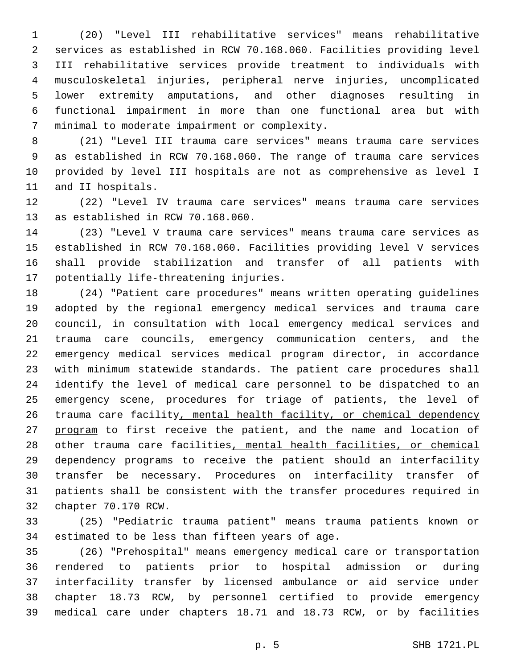(20) "Level III rehabilitative services" means rehabilitative services as established in RCW 70.168.060. Facilities providing level III rehabilitative services provide treatment to individuals with musculoskeletal injuries, peripheral nerve injuries, uncomplicated lower extremity amputations, and other diagnoses resulting in functional impairment in more than one functional area but with 7 minimal to moderate impairment or complexity.

 (21) "Level III trauma care services" means trauma care services as established in RCW 70.168.060. The range of trauma care services provided by level III hospitals are not as comprehensive as level I 11 and II hospitals.

 (22) "Level IV trauma care services" means trauma care services 13 as established in RCW 70.168.060.

 (23) "Level V trauma care services" means trauma care services as established in RCW 70.168.060. Facilities providing level V services shall provide stabilization and transfer of all patients with 17 potentially life-threatening injuries.

 (24) "Patient care procedures" means written operating guidelines adopted by the regional emergency medical services and trauma care council, in consultation with local emergency medical services and trauma care councils, emergency communication centers, and the emergency medical services medical program director, in accordance with minimum statewide standards. The patient care procedures shall identify the level of medical care personnel to be dispatched to an emergency scene, procedures for triage of patients, the level of trauma care facility, mental health facility, or chemical dependency 27 program to first receive the patient, and the name and location of other trauma care facilities, mental health facilities, or chemical 29 dependency programs to receive the patient should an interfacility transfer be necessary. Procedures on interfacility transfer of patients shall be consistent with the transfer procedures required in 32 chapter 70.170 RCW.

 (25) "Pediatric trauma patient" means trauma patients known or 34 estimated to be less than fifteen years of age.

 (26) "Prehospital" means emergency medical care or transportation rendered to patients prior to hospital admission or during interfacility transfer by licensed ambulance or aid service under chapter 18.73 RCW, by personnel certified to provide emergency medical care under chapters 18.71 and 18.73 RCW, or by facilities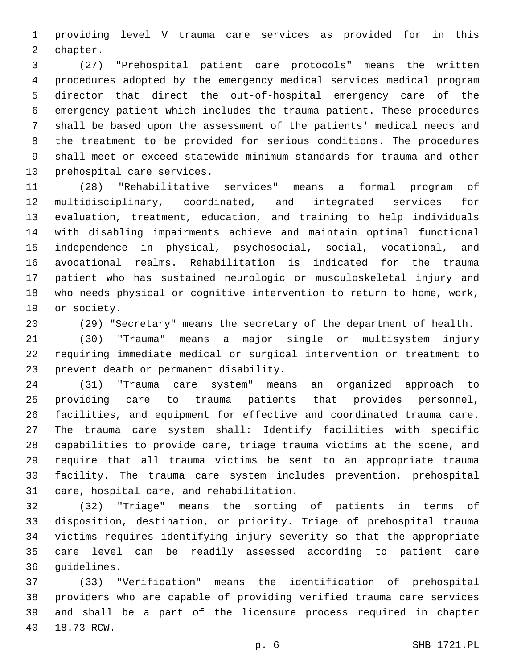providing level V trauma care services as provided for in this 2 chapter.

 (27) "Prehospital patient care protocols" means the written procedures adopted by the emergency medical services medical program director that direct the out-of-hospital emergency care of the emergency patient which includes the trauma patient. These procedures shall be based upon the assessment of the patients' medical needs and the treatment to be provided for serious conditions. The procedures shall meet or exceed statewide minimum standards for trauma and other 10 prehospital care services.

 (28) "Rehabilitative services" means a formal program of multidisciplinary, coordinated, and integrated services for evaluation, treatment, education, and training to help individuals with disabling impairments achieve and maintain optimal functional independence in physical, psychosocial, social, vocational, and avocational realms. Rehabilitation is indicated for the trauma patient who has sustained neurologic or musculoskeletal injury and who needs physical or cognitive intervention to return to home, work, 19 or society.

(29) "Secretary" means the secretary of the department of health.

 (30) "Trauma" means a major single or multisystem injury requiring immediate medical or surgical intervention or treatment to 23 prevent death or permanent disability.

 (31) "Trauma care system" means an organized approach to providing care to trauma patients that provides personnel, facilities, and equipment for effective and coordinated trauma care. The trauma care system shall: Identify facilities with specific capabilities to provide care, triage trauma victims at the scene, and require that all trauma victims be sent to an appropriate trauma facility. The trauma care system includes prevention, prehospital 31 care, hospital care, and rehabilitation.

 (32) "Triage" means the sorting of patients in terms of disposition, destination, or priority. Triage of prehospital trauma victims requires identifying injury severity so that the appropriate care level can be readily assessed according to patient care 36 guidelines.

 (33) "Verification" means the identification of prehospital providers who are capable of providing verified trauma care services and shall be a part of the licensure process required in chapter 40 18.73 RCW.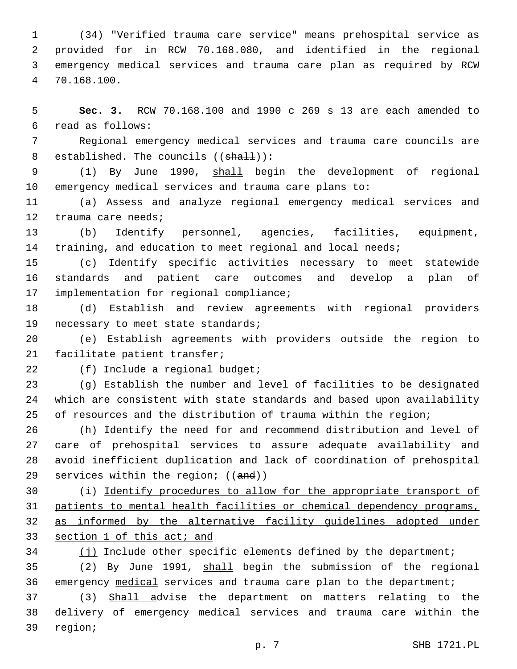(34) "Verified trauma care service" means prehospital service as provided for in RCW 70.168.080, and identified in the regional emergency medical services and trauma care plan as required by RCW 70.168.100.4

 **Sec. 3.** RCW 70.168.100 and 1990 c 269 s 13 are each amended to read as follows:6

 Regional emergency medical services and trauma care councils are 8 established. The councils ((shall)):

 (1) By June 1990, shall begin the development of regional emergency medical services and trauma care plans to:

 (a) Assess and analyze regional emergency medical services and 12 trauma care needs;

 (b) Identify personnel, agencies, facilities, equipment, training, and education to meet regional and local needs;

 (c) Identify specific activities necessary to meet statewide standards and patient care outcomes and develop a plan of 17 implementation for regional compliance;

 (d) Establish and review agreements with regional providers 19 necessary to meet state standards;

 (e) Establish agreements with providers outside the region to 21 facilitate patient transfer;

22 (f) Include a regional budget;

 (g) Establish the number and level of facilities to be designated which are consistent with state standards and based upon availability of resources and the distribution of trauma within the region;

 (h) Identify the need for and recommend distribution and level of care of prehospital services to assure adequate availability and avoid inefficient duplication and lack of coordination of prehospital 29 services within the region; ((and))

 (i) Identify procedures to allow for the appropriate transport of patients to mental health facilities or chemical dependency programs, as informed by the alternative facility guidelines adopted under section 1 of this act; and

 (j) Include other specific elements defined by the department; (2) By June 1991, shall begin the submission of the regional

emergency medical services and trauma care plan to the department;

 (3) Shall advise the department on matters relating to the delivery of emergency medical services and trauma care within the 39 region;

p. 7 SHB 1721.PL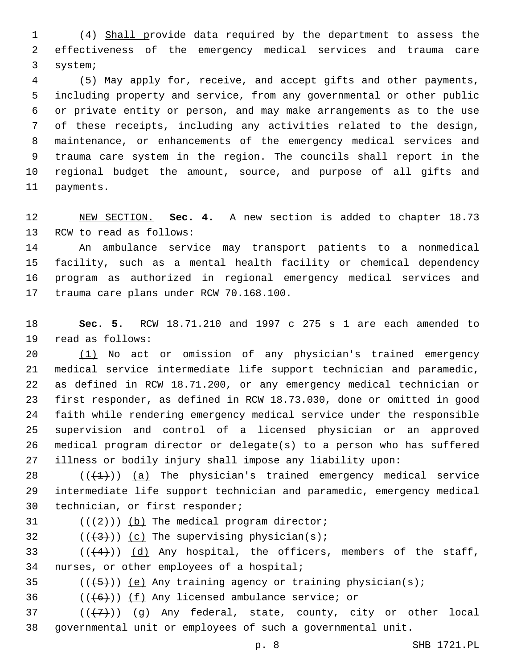(4) Shall provide data required by the department to assess the effectiveness of the emergency medical services and trauma care 3 system;

 (5) May apply for, receive, and accept gifts and other payments, including property and service, from any governmental or other public or private entity or person, and may make arrangements as to the use of these receipts, including any activities related to the design, maintenance, or enhancements of the emergency medical services and trauma care system in the region. The councils shall report in the regional budget the amount, source, and purpose of all gifts and 11 payments.

 NEW SECTION. **Sec. 4.** A new section is added to chapter 18.73 13 RCW to read as follows:

 An ambulance service may transport patients to a nonmedical facility, such as a mental health facility or chemical dependency program as authorized in regional emergency medical services and 17 trauma care plans under RCW 70.168.100.

 **Sec. 5.** RCW 18.71.210 and 1997 c 275 s 1 are each amended to 19 read as follows:

 (1) No act or omission of any physician's trained emergency medical service intermediate life support technician and paramedic, as defined in RCW 18.71.200, or any emergency medical technician or first responder, as defined in RCW 18.73.030, done or omitted in good faith while rendering emergency medical service under the responsible supervision and control of a licensed physician or an approved medical program director or delegate(s) to a person who has suffered illness or bodily injury shall impose any liability upon:

 $((+1))$   $(a)$  The physician's trained emergency medical service intermediate life support technician and paramedic, emergency medical 30 technician, or first responder;

 $(1+2)(1)$  (b) The medical program director;

 $($  (( $\{3\})$ )) (c) The supervising physician(s);

 $(1+4)$ ) (d) Any hospital, the officers, members of the staff, 34 nurses, or other employees of a hospital;

35  $((+5+))$  (e) Any training agency or training physician(s);

36  $((+6))$   $(f)$  Any licensed ambulance service; or

 ( $(\overline{+7})$ ) (g) Any federal, state, county, city or other local governmental unit or employees of such a governmental unit.